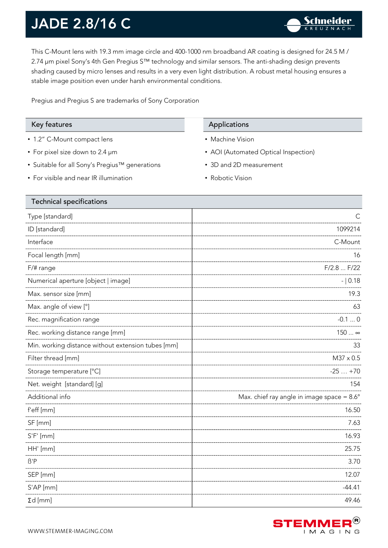This C-Mount lens with 19.3 mm image circle and 400-1000 nm broadband AR coating is designed for 24.5 M / 2.74 µm pixel Sony's 4th Gen Pregius S™ technology and similar sensors. The anti-shading design prevents shading caused by micro lenses and results in a very even light distribution. A robust metal housing ensures a stable image position even under harsh environmental conditions.

Pregius and Pregius S are trademarks of Sony Corporation

- 1.2" C-Mount compact lens
- For pixel size down to 2.4 µm

Technical specifications

- Suitable for all Sony's Pregius™ generations
- For visible and near IR illumination

#### Key features **Applications** Applications

- Machine Vision
- AOI (Automated Optical Inspection)
- 3D and 2D measurement
- Robotic Vision

| Technical specifications                           |                                                     |
|----------------------------------------------------|-----------------------------------------------------|
| Type [standard]                                    | С                                                   |
| ID [standard]                                      | 1099214                                             |
| Interface                                          | C-Mount                                             |
| Focal length [mm]                                  | 16                                                  |
| F/# range                                          | F/2.8  F/22                                         |
| Numerical aperture [object   image]                | $- 0.18$                                            |
| Max. sensor size [mm]                              | 19.3                                                |
| Max. angle of view [°]                             | 63                                                  |
| Rec. magnification range                           | $-0.10$                                             |
| Rec. working distance range [mm]                   | 150  ∞                                              |
| Min. working distance without extension tubes [mm] | 33                                                  |
| Filter thread [mm]                                 | $M37 \times 0.5$                                    |
| Storage temperature [°C]                           | $-25+70$                                            |
| Net. weight [standard] [g]                         | 154                                                 |
| Additional info                                    | Max. chief ray angle in image space = $8.6^{\circ}$ |
| f'eff [mm]                                         | 16.50                                               |
| SF [mm]                                            | 7.63                                                |
| $S'F'$ [mm]                                        | 16.93                                               |
| HH' [mm]                                           | 25.75                                               |
| $\beta'$ P                                         | 3.70                                                |
| SEP [mm]                                           | 12.07                                               |
| $S'AP$ [mm]                                        | $-44.41$                                            |
| $\Sigma d$ [mm]                                    | 49.46                                               |

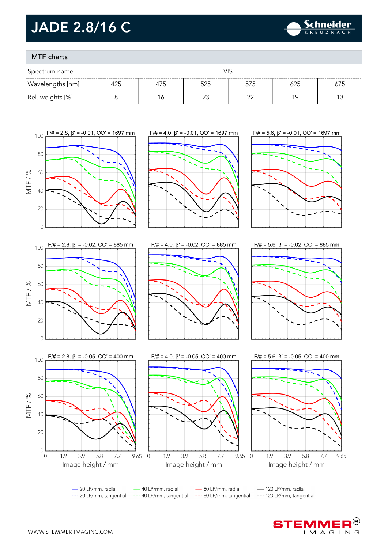

### MTF charts

| Spectrum name    | VIS |     |     |     |     |     |
|------------------|-----|-----|-----|-----|-----|-----|
| Wavelengths [nm] | 425 | 475 | 525 | 575 | 625 | 675 |
| Rel. weights [%] |     | 6   |     | ົ   | 1 Q |     |



- 20 LP/mm, radial --- 20 LP/mm, tangential

- 40 LP/mm, radial

- 80 LP/mm, radial --- 40 LP/mm, tangential --- 80 LP/mm, tangential

-120 LP/mm, radial --- 120 LP/mm, tangential

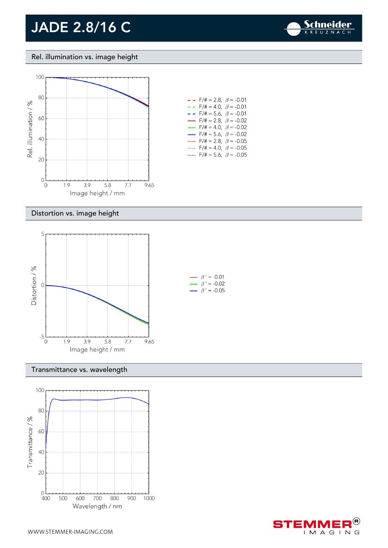

Rel. illumination vs. image height



#### Distortion vs. image height



#### Transmittance vs. wavelength



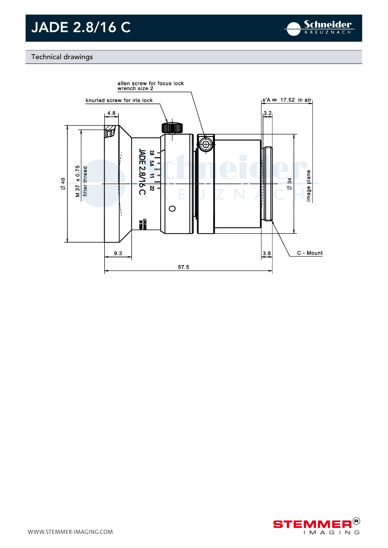

#### Technical drawings



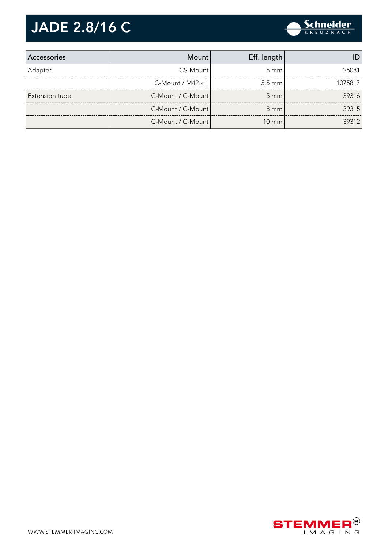| Accessories    | Mount                    | Eff. length      |         |
|----------------|--------------------------|------------------|---------|
| Adapter        | CS-Mount                 | $5 \text{ mm}$   | 25081   |
|                | C-Mount / $M42 \times 1$ | $5.5 \text{ mm}$ | 1075817 |
| Extension tube | C-Mount / C-Mount        | $5 \text{ mm}$   | 39316   |
|                | C-Mount / C-Mount        | $8 \text{ mm}$   | 39315   |
|                | C-Mount / C-Mount        | $10 \text{ mm}$  | 39312   |